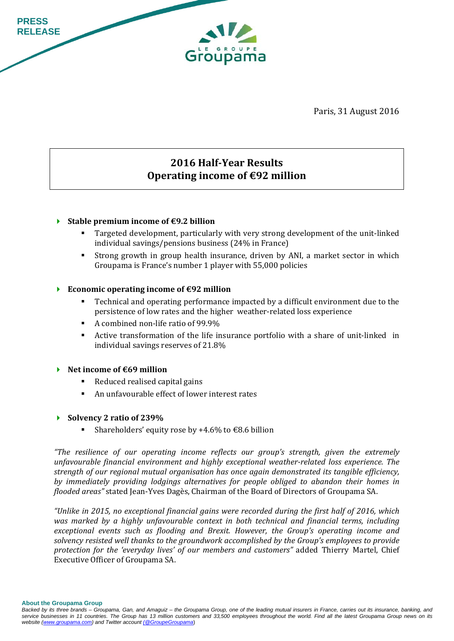

Paris, 31 August 2016

# **2016 Half‐Year Results Operating income of €92 million**

#### **Stable premium income of €9.2 billion**

- Targeted development, particularly with very strong development of the unit-linked individual savings/pensions business  $(24%$  in France)
- **Strong growth in group health insurance, driven by ANI, a market sector in which** Groupama is France's number 1 player with 55,000 policies

#### **F** Economic operating income of  $\epsilon$ 92 million

- Technical and operating performance impacted by a difficult environment due to the persistence of low rates and the higher weather-related loss experience
- A combined non-life ratio of  $99.9\%$
- Active transformation of the life insurance portfolio with a share of unit-linked in individual savings reserves of 21.8%

#### **Net income of €69 million**

- $\blacksquare$  Reduced realised capital gains
- An unfavourable effect of lower interest rates
- **Solvency 2 ratio of 239%**
	- Shareholders' equity rose by  $+4.6\%$  to  $\text{\textsterling}8.6$  billion

*"The resilience of our operating income reflects our group's strength, given the extremely unfavourable financial environment and highly exceptional weather‐related loss experience. The strength of our regional mutual organisation has once again demonstrated its tangible efficiency, by immediately providing lodgings alternatives for people obliged to abandon their homes in flooded areas*" stated Jean-Yves Dagès, Chairman of the Board of Directors of Groupama SA.

*"Unlike in 2015, no exceptional financial gains were recorded during the first half of 2016, which was marked by a highly unfavourable context in both technical and financial terms, including exceptional events such as flooding and Brexit. However, the Group's operating income and solvency resisted well thanks to the groundwork accomplished by the Group's employees to provide protection for the 'everyday lives' of our members and customers"* added Thierry Martel, Chief Executive Officer of Groupama SA.

**About the Groupama Group**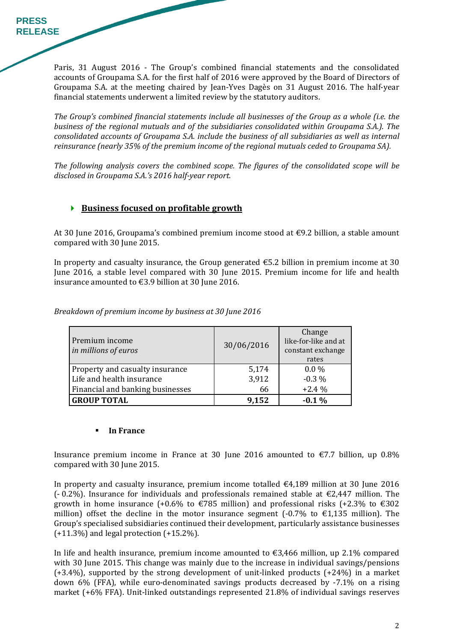Paris, 31 August 2016 - The Group's combined financial statements and the consolidated accounts of Groupama S.A. for the first half of 2016 were approved by the Board of Directors of Groupama S.A. at the meeting chaired by Jean-Yves Dagès on 31 August 2016. The half-year financial statements underwent a limited review by the statutory auditors.

*The Group's combined financial statements include all businesses of the Group as a whole (i.e. the business of the regional mutuals and of the subsidiaries consolidated within Groupama S.A.). The consolidated accounts of Groupama S.A. include the business of all subsidiaries as well as internal reinsurance (nearly 35% of the premium income of the regional mutuals ceded to Groupama SA).* 

*The following analysis covers the combined scope. The figures of the consolidated scope will be disclosed in Groupama S.A.'s 2016 half‐year report.*

### **Business focused on profitable growth**

At 30 June 2016, Groupama's combined premium income stood at  $\epsilon$ 9.2 billion, a stable amount compared with 30 June 2015.

In property and casualty insurance, the Group generated  $\epsilon$ 5.2 billion in premium income at 30 June 2016, a stable level compared with 30 June 2015. Premium income for life and health insurance amounted to  $\text{\textsterling}3.9$  billion at 30 June 2016.

| Premium income<br>in millions of euros | 30/06/2016 | Change<br>like-for-like and at<br>constant exchange<br>rates |
|----------------------------------------|------------|--------------------------------------------------------------|
| Property and casualty insurance        | 5,174      | $0.0\%$                                                      |
| Life and health insurance              | 3,912      | $-0.3\%$                                                     |
| Financial and banking businesses       | 66         | $+2.4%$                                                      |
| <b>GROUP TOTAL</b>                     | 9,152      | $-0.1%$                                                      |

*Breakdown of premium income by business at 30 June 2016*

#### **In France**

Insurance premium income in France at 30 June 2016 amounted to  $\epsilon$ 7.7 billion, up 0.8% compared with 30 June 2015.

In property and casualty insurance, premium income totalled  $€4,189$  million at 30 June 2016 (-0.2%). Insurance for individuals and professionals remained stable at  $\epsilon$ 2,447 million. The growth in home insurance  $(+0.6\%$  to  $\epsilon$ 785 million) and professional risks  $(+2.3\%$  to  $\epsilon$ 302 million) offset the decline in the motor insurance segment  $(-0.7\%$  to  $\epsilon$ 1,135 million). The Group's specialised subsidiaries continued their development, particularly assistance businesses  $(+11.3\%)$  and legal protection  $(+15.2\%)$ .

In life and health insurance, premium income amounted to  $\epsilon$ 3,466 million, up 2.1% compared with 30 June 2015. This change was mainly due to the increase in individual savings/pensions  $(+3.4\%)$ , supported by the strong development of unit-linked products  $(+24\%)$  in a market down  $6\%$  (FFA), while euro-denominated savings products decreased by  $-7.1\%$  on a rising market  $(+6%$  FFA). Unit-linked outstandings represented 21.8% of individual savings reserves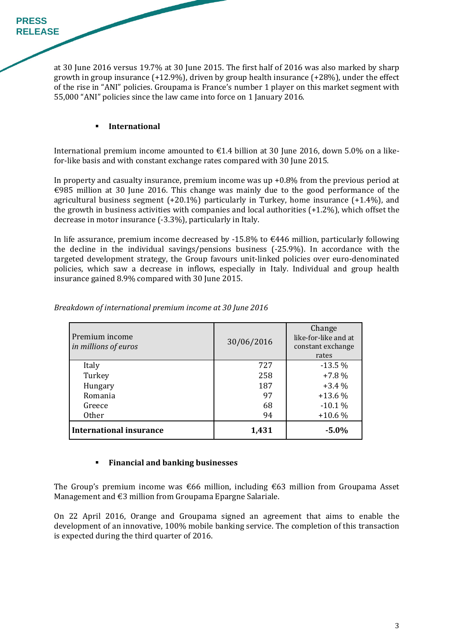at 30 June 2016 versus 19.7% at 30 June 2015. The first half of 2016 was also marked by sharp growth in group insurance  $(+12.9\%)$ , driven by group health insurance  $(+28\%)$ , under the effect of the rise in "ANI" policies. Groupama is France's number 1 player on this market segment with 55,000 "ANI" policies since the law came into force on 1 January 2016.

#### **International**

International premium income amounted to  $\epsilon$ 1.4 billion at 30 June 2016, down 5.0% on a likefor-like basis and with constant exchange rates compared with 30 June 2015.

In property and casualty insurance, premium income was up  $+0.8\%$  from the previous period at €985 million at 30 June 2016. This change was mainly due to the good performance of the agricultural business segment  $(+20.1\%)$  particularly in Turkey, home insurance  $(+1.4\%)$ , and the growth in business activities with companies and local authorities  $(+1.2\%)$ , which offset the decrease in motor insurance  $(-3.3\%)$ , particularly in Italy.

In life assurance, premium income decreased by -15.8% to  $\epsilon$ 446 million, particularly following the decline in the individual savings/pensions business  $(-25.9\%)$ . In accordance with the targeted development strategy, the Group favours unit-linked policies over euro-denominated policies, which saw a decrease in inflows, especially in Italy. Individual and group health insurance gained 8.9% compared with 30 June 2015.

| Premium income<br>in millions of euros | 30/06/2016 | Change<br>like-for-like and at<br>constant exchange<br>rates |
|----------------------------------------|------------|--------------------------------------------------------------|
| Italy                                  | 727        | $-13.5%$                                                     |
| Turkey                                 | 258        | $+7.8%$                                                      |
| Hungary                                | 187        | $+3.4%$                                                      |
| Romania                                | 97         | $+13.6%$                                                     |
| Greece                                 | 68         | $-10.1%$                                                     |
| <b>Other</b>                           | 94         | $+10.6%$                                                     |
| <b>International insurance</b>         | 1,431      | $-5.0%$                                                      |

*Breakdown of international premium income at 30 June 2016* 

### **Financial and banking businesses**

The Group's premium income was  $\epsilon$ 66 million, including  $\epsilon$ 63 million from Groupama Asset Management and  $€3$  million from Groupama Epargne Salariale.

On 22 April 2016, Orange and Groupama signed an agreement that aims to enable the development of an innovative, 100% mobile banking service. The completion of this transaction is expected during the third quarter of 2016.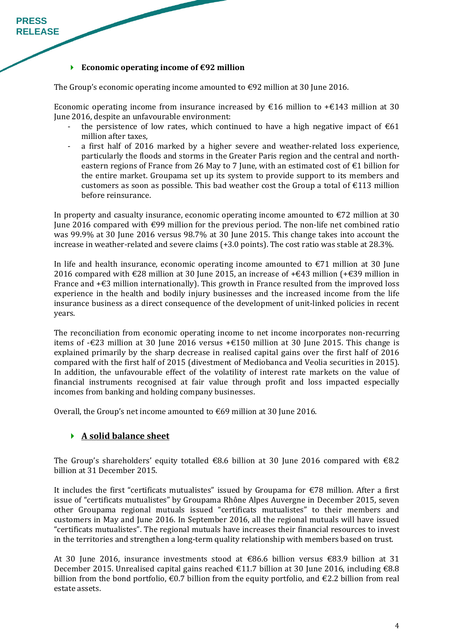#### **F** Economic operating income of  $\epsilon$ 92 million

The Group's economic operating income amounted to  $\epsilon$ 92 million at 30 June 2016.

Economic operating income from insurance increased by  $\epsilon$ 16 million to + $\epsilon$ 143 million at 30 June 2016, despite an unfavourable environment:

- the persistence of low rates, which continued to have a high negative impact of  $\epsilon$ 61 million after taxes,
- a first half of 2016 marked by a higher severe and weather-related loss experience, particularly the floods and storms in the Greater Paris region and the central and northeastern regions of France from 26 May to 7 June, with an estimated cost of  $\epsilon$ 1 billion for the entire market. Groupama set up its system to provide support to its members and customers as soon as possible. This bad weather cost the Group a total of  $E113$  million before reinsurance.

In property and casualty insurance, economic operating income amounted to  $E$ 72 million at 30 June 2016 compared with €99 million for the previous period. The non-life net combined ratio was 99.9% at 30 June 2016 versus 98.7% at 30 June 2015. This change takes into account the increase in weather-related and severe claims (+3.0 points). The cost ratio was stable at 28.3%.

In life and health insurance, economic operating income amounted to  $\epsilon$ 71 million at 30 June 2016 compared with €28 million at 30 June 2015, an increase of +€43 million (+€39 million in France and  $+\epsilon$ 3 million internationally). This growth in France resulted from the improved loss experience in the health and bodily injury businesses and the increased income from the life insurance business as a direct consequence of the development of unit-linked policies in recent years. 

The reconciliation from economic operating income to net income incorporates non-recurring items of -€23 million at 30 June 2016 versus  $+€150$  million at 30 June 2015. This change is explained primarily by the sharp decrease in realised capital gains over the first half of 2016 compared with the first half of 2015 (divestment of Mediobanca and Veolia securities in 2015). In addition, the unfavourable effect of the volatility of interest rate markets on the value of financial instruments recognised at fair value through profit and loss impacted especially incomes from banking and holding company businesses.

Overall, the Group's net income amounted to  $\epsilon$ 69 million at 30 June 2016.

### **A solid balance sheet**

The Group's shareholders' equity totalled  $\epsilon$ 8.6 billion at 30 June 2016 compared with  $\epsilon$ 8.2 billion at 31 December 2015.

It includes the first "certificats mutualistes" issued by Groupama for  $\epsilon$ 78 million. After a first issue of "certificats mutualistes" by Groupama Rhône Alpes Auvergne in December 2015, seven other Groupama regional mutuals issued "certificats mutualistes" to their members and customers in May and June 2016. In September 2016, all the regional mutuals will have issued "certificats mutualistes". The regional mutuals have increases their financial resources to invest in the territories and strengthen a long-term quality relationship with members based on trust.

At 30 June 2016, insurance investments stood at  $\epsilon$ 86.6 billion versus  $\epsilon$ 83.9 billion at 31 December 2015. Unrealised capital gains reached €11.7 billion at 30 June 2016, including €8.8 billion from the bond portfolio,  $\epsilon$ 0.7 billion from the equity portfolio, and  $\epsilon$ 2.2 billion from real estate assets.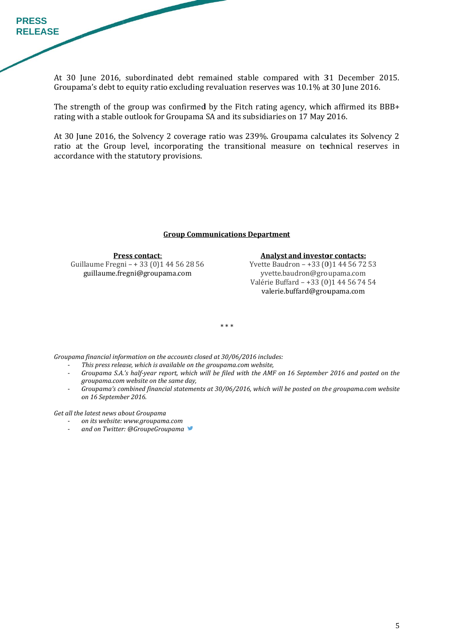At 30 June 2016, subordinated debt remained stable compared with 31 December 2015. Groupama's debt to equity ratio excluding revaluation reserves was 10.1% at 30 June 2016.

The strength of the group was confirmed by the Fitch rating agency, which affirmed its BBB+ rating with a stable outlook for Groupama SA and its subsidiaries on 17 May 2016.

At 30 June 2016, the Solvency 2 coverage ratio was 239%. Groupama calculates its Solvency 2 ratio at the Group level, incorporating the transitional measure on technical reserves in accordance with the statutory provisions.

#### **Group Communications Department**

Guillaume Fregni - + 33 (0)1 44 56 28 56 **Pre ess contact**: guillaume.fr egni@groupa ama.com 

**Analyst and investor contacts:** 

Yvette Baudron - +33 (0)1 44 56 72 53 yvette.baudron@groupama.com Valérie Buffard - +33 (0)1 44 56 74 54 valerie.buffard@groupama.com

\* \* \* 

*Groupama financial information on the accounts closed at 30/06/2016 includes:* 

- ‐ *This* press release, which is available on the groupama.com website,
- Groupama S.A.'s half-year report, which will be filed with the AMF on 16 September 2016 and posted on the *g groupama.com m website on th e same day,*
- Groupama's combined financial statements at 30/06/2016, which will be posted on the groupama.com website *o on 16 Septemb ber 2016.*

 $G$ *et* all the latest news about Groupama

- ‐ *o on its website: www.groupam ama.com*
- ‐ *a and on Twitter r: @GroupeGro oupama*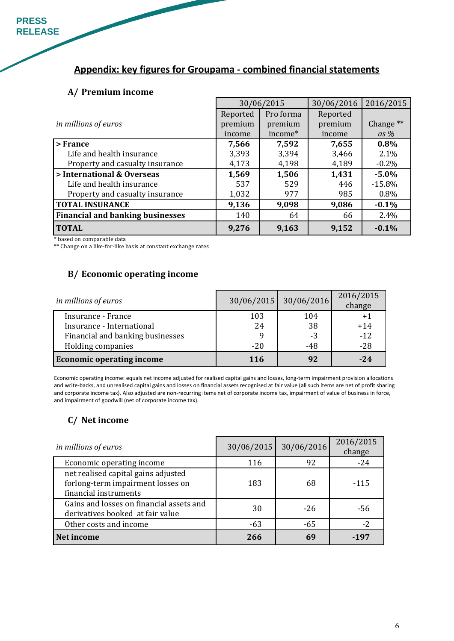**PRESS RELEASE** 

# **Appendix: key figures for Groupama ‐ combined financial statements**

#### **A/ Premium income**

|                                         | 30/06/2015 |           | 30/06/2016 | 2016/2015            |
|-----------------------------------------|------------|-----------|------------|----------------------|
|                                         | Reported   | Pro forma | Reported   |                      |
| in millions of euros                    | premium    | premium   | premium    | Change <sup>**</sup> |
|                                         | income     | income*   | income     | as $%$               |
| > France                                | 7,566      | 7,592     | 7,655      | 0.8%                 |
| Life and health insurance               | 3,393      | 3,394     | 3,466      | 2.1%                 |
| Property and casualty insurance         | 4,173      | 4,198     | 4,189      | $-0.2%$              |
| > International & Overseas              | 1,569      | 1,506     | 1,431      | $-5.0%$              |
| Life and health insurance               | 537        | 529       | 446        | $-15.8%$             |
| Property and casualty insurance         | 1,032      | 977       | 985        | 0.8%                 |
| <b>TOTAL INSURANCE</b>                  | 9,136      | 9,098     | 9,086      | $-0.1%$              |
| <b>Financial and banking businesses</b> | 140        | 64        | 66         | 2.4%                 |
| <b>TOTAL</b>                            | 9,276      | 9,163     | 9,152      | $-0.1%$              |

\* based on comparable data 

\*\* Change on a like-for-like basis at constant exchange rates

## **B/ Economic operating income**

| in millions of euros             |       | 30/06/2015 30/06/2016 | 2016/2015<br>change |
|----------------------------------|-------|-----------------------|---------------------|
| Insurance - France               | 103   | 104                   | $+1$                |
| Insurance - International        | 24    | 38                    | $+14$               |
| Financial and banking businesses |       | -3                    | $-12$               |
| Holding companies                | $-20$ | $-48$                 | $-28$               |
| <b>Economic operating income</b> | 116   | 92                    | $-24$               |

Economic operating income: equals net income adjusted for realised capital gains and losses, long-term impairment provision allocations and write-backs, and unrealised capital gains and losses on financial assets recognised at fair value (all such items are net of profit sharing and corporate income tax). Also adjusted are non-recurring items net of corporate income tax, impairment of value of business in force, and impairment of goodwill (net of corporate income tax).

### **C/ Net income**

| in millions of euros                                                                              | 30/06/2015 | 30/06/2016 | 2016/2015<br>change |
|---------------------------------------------------------------------------------------------------|------------|------------|---------------------|
| Economic operating income                                                                         | 116        | 92         | $-24$               |
| net realised capital gains adjusted<br>forlong-term impairment losses on<br>financial instruments | 183        | 68         | $-115$              |
| Gains and losses on financial assets and<br>derivatives booked at fair value                      | 30         | $-26$      | -56                 |
| Other costs and income                                                                            | -63        | $-65$      | $-2$                |
| Net income                                                                                        | 266        | 69         | -197                |